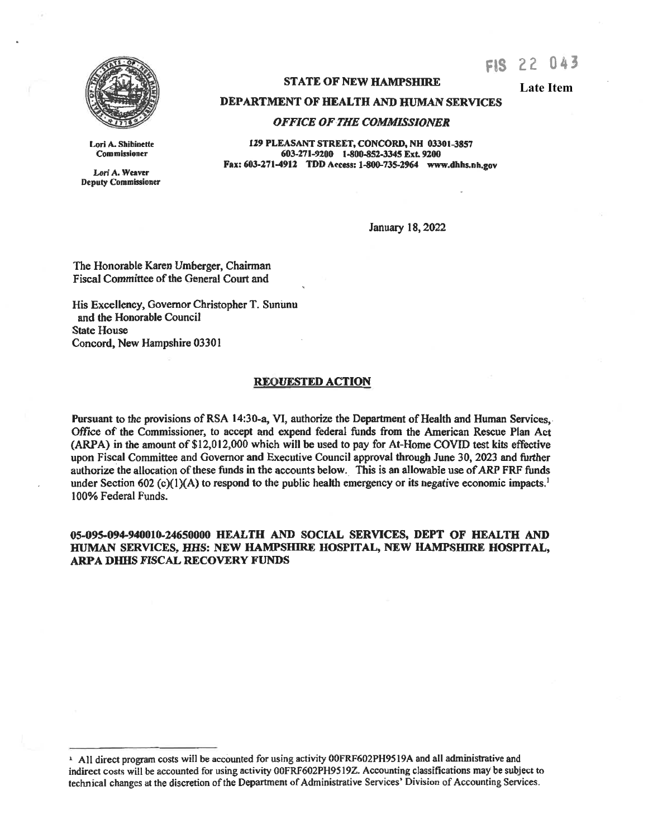

Lori A. Shibinette Commissioner Lori A. Weaver Deputy Commissioner **STATE OF NEW HAMPSHIRE** 

**Late Item**

FIS 22 043

**DEPARTMENT OF HEALTH AND HUMAN SERVICES** 

## *OFFICE OF THE COMMISSIONER*

**129 PLEASANT STREET, CONCORD, NH 03301-3857**  603-271-9200 **1-800-852-3345** Ext. 9200 **Fax: 603-271-4912 TDD Access: 1-800-735-2964 www.dhhs.nh.gov** 

January 18, 2022

The Honorable Karen Umberger, Chairman Fiscal Committee of the General Court and

His Excellency, Governor Christopher T. Sununu and the Honorable Council State House Concord, New Hampshire 03301

## **REQUESTED ACTION**

Pursuant to the provisions of RSA 14:30-a, VI, authorize the Department of Health and Human Services,. Office of the Commissioner, to accept and expend federal funds from the American Rescue Plan Act (ARPA) in the amount of \$12,012,000 which will be used to pay for At-Home COVID test kits effective upon Fiscal Committee and Governor and Executive Council approval through June 30, 2023 and further authorize the allocation of these funds in the accounts below.. This is an allowable use of ARP FRF funds under Section 602 (c)(1)(A) to respond to the public health emergency or its negative economic impacts.<sup>1</sup> I 00% Federal Funds.

## 05-095-094-940010-24650000 HEALTH AND SOCIAL SERVICES, DEPT OF HEALTH AND **HUMAN SERVICES, HHS: NEW HAMPSHIRE HOSPITAL, NEW HAMPSHIRE HOSPITAL, ARPA DHHS FISCAL RECOVERY FUNDS**

<sup>&</sup>lt;sup>1</sup> All direct program costs will be accounted for using activity 00FRF602PH9519A and all administrative and indirect costs will be accounted for using activity 00FRF602PH9519Z. Accounting classifications may be subject to technical changes at the discretion of the Department of Administrative Services' Division of Accounting Services.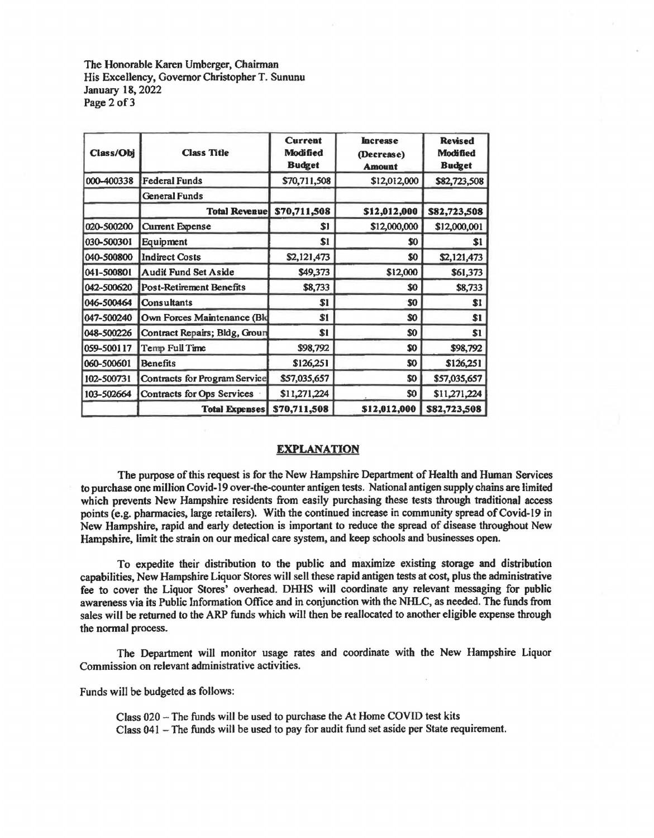The Honorable Karen Umberger, Chairman His Excellency, Governor Christopher T. Sununu January 18, 2022 Page 2 of 3

| Class/Obj  | <b>Class Title</b>            | <b>Current</b><br>Modified<br><b>Budget</b> | <b>Increase</b><br>(Decrease)<br><b>Amount</b> | <b>Revised</b><br><b>Modified</b><br><b>Budget</b> |
|------------|-------------------------------|---------------------------------------------|------------------------------------------------|----------------------------------------------------|
| 000-400338 | <b>Federal Funds</b>          | \$70,711,508                                | \$12,012,000                                   | \$82,723,508                                       |
|            | <b>General Funds</b>          |                                             |                                                |                                                    |
|            | <b>Total Revenue</b>          | \$70,711,508                                | \$12,012,000                                   | \$82,723,508                                       |
| 020-500200 | <b>Current Expense</b>        | S1                                          | \$12,000,000                                   | \$12,000,001                                       |
| 030-500301 | Equipment                     | S1                                          | \$0                                            | \$1                                                |
| 040-500800 | <b>Indirect Costs</b>         | \$2,121,473                                 | \$O                                            | \$2,121,473                                        |
| 041-500801 | <b>Audit Fund Set Aside</b>   | \$49,373                                    | \$12,000                                       | \$61,373                                           |
| 042-500620 | Post-Retirement Benefits      | \$8,733                                     | \$0                                            | \$8,733                                            |
| 046-500464 | Consultants                   | \$1                                         | \$0                                            | \$1                                                |
| 047-500240 | Own Forces Maintenance (Bld   | \$1                                         | \$0                                            | \$1                                                |
| 048-500226 | Contract Repairs; Bldg, Groun | \$1                                         | \$0                                            | \$1                                                |
| 059-500117 | Temp Full Time                | \$98,792                                    | \$0                                            | \$98,792                                           |
| 060-500601 | <b>Benefits</b>               | \$126,251                                   | \$0                                            | \$126,251                                          |
| 102-500731 | Contracts for Program Service | \$57,035,657                                | \$0                                            | \$57,035,657                                       |
| 103-502664 | Contracts for Ops Services    | \$11,271,224                                | \$O                                            | \$11,271,224                                       |
|            | <b>Total Expenses</b>         | \$70,711,508                                | \$12,012,000                                   | \$82,723,508                                       |

## **EXPLANATION**

The purpose of this request is for the New Hampshire Department of Health and Human Services to purchase one million Covid-19 over-the-counter antigen tests. National antigen supply chains are limited which prevents New Hampshire residents from easily purchasing these tests through traditional access points (e.g. pharmacies, large retailers). With the continued increase in community spread of Covid-19 in New Hampshire, rapid and early detection is important to reduce the spread of disease throughout New Hampshire, limit the strain on our medical care system, and keep schools and businesses open.

To expedite their distribution to the public and maximize existing storage and distribution capabilities, New Hampshire Liquor Stores will sell these rapid antigen tests at cost, plus the administrative fee to cover the Liquor Stores' overhead. DHHS will coordinate any relevant messaging for public awareness via its Public Information Office and in conjunction with the NHLC, as needed. The funds from sales will be returned to the ARP funds which will then be reallocated to another eligible expense through the normal process.

The Department will monitor usage rates and coordinate with the New Hampshire Liquor Commission on relevant administrative activities.

Funds will be budgeted as follows:

Class 020 - The funds will be used to purchase the At Home COVID test kits Class 041 - The funds will be used to pay for audit fund set aside per State requirement.